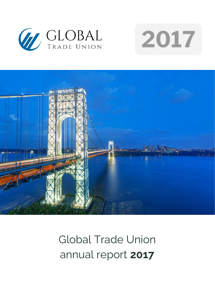





# Global Trade Union annual report **2017**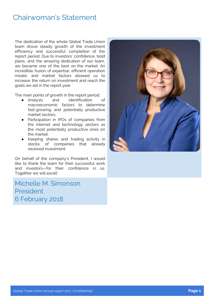### Chairwoman's Statement

The dedication of the whole Global Trade Union team drove steady growth of the investment efficiency and successful completion of the report period. Due to investors' confidence, bold plans, and the amazing dedication of our team, we became one of the best on the market. An incredible fusion of expertise, efficient operation model, and market factors allowed us to increase the return on investment and reach the goals we set in the report year.

The main points of growth in the report period:

- Analysis and identification of macroeconomic factors to determine fast-growing and potentially productive market sectors.
- Participation in IPOs of companies from the internet and technology sectors as the most potentially productive ones on the market.
- Keeping shares and trading activity in stocks of companies that already received investment.

On behalf of the company's President, I would like to thank the team for their successful work and investors—for their confidence in us. Together we will excel!

Michelle M. Simonson President 6 February 2018

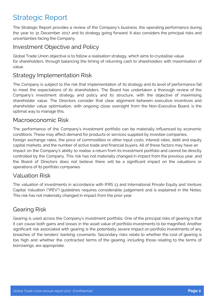# Strategic Report

The Strategic Report provides a review of the Company's business, the operating performance during the year to 31 December 2017 and its strategy going forward. It also considers the principal risks and uncertainties facing the Company.

#### Investment Objective and Policy

Global Trade Union objective is to follow a realisation strategy, which aims to crystallise value for shareholders, through balancing the timing of returning cash to shareholders with maximisation of value.

#### Strategy Implementation Risk

The Company is subject to the risk that implementation of its strategy and its level of performance fail to meet the expectations of its shareholders. The Board has undertaken a thorough review of the Company's investment strategy and policy and its structure, with the objective of maximising shareholder value. The Directors consider that clear alignment between executive incentives and shareholder value optimisation, with ongoing close oversight from the Non-Executive Board, is the optimal way to manage this.

#### Macroeconomic Risk

The performance of the Company's investment portfolio can be materially influenced by economic conditions. These may affect demand for products or services supplied by investee companies, foreign exchange rates, the price of commodities or other input costs, interest rates, debt and equity capital markets, and the number of active trade and financial buyers. All of these factors may have an impact on the Company's ability to realise a return from its investment portfolio and cannot be directly controlled by the Company. This risk has not materially changed in impact from the previous year, and the Board of Directors does not believe there will be a significant impact on the valuations or operations of its portfolio companies.

#### Valuation Risk

The valuation of investments in accordance with IFRS 13 and International Private Equity and Venture Capital Valuation ("IPEV") guidelines requires considerable judgement and is explained in the Notes. This risk has not materially changed in impact from the prior year.

#### Gearing Risk

Gearing is used across the Company's investment portfolio. One of the principal risks of gearing is that it can cause both gains and losses in the asset value of portfolio investments to be magnified. Another significant risk associated with gearing is the potentially severe impact on portfolio investments of any breaches of the lenders' banking covenants. Secondary risks relate to whether the cost of gearing is too high and whether the contracted terms of the gearing, including those relating to the terms of borrowings, are appropriate.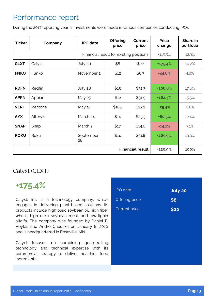### Performance report

During the 2017 reporting year, 8 investments were made in various companies conducting IPOs.

| <b>Ticker</b>                           | Company  | <b>IPO</b> date    | <b>Offering</b><br>price | Current<br>price | <b>Price</b><br>change | Share in<br>portfolio |
|-----------------------------------------|----------|--------------------|--------------------------|------------------|------------------------|-----------------------|
| Financial result for existing positions |          |                    | $+115.5%$                | 12.3%            |                        |                       |
| <b>CLXT</b>                             | Calyxt   | July 20            | \$8                      | \$22             | $+175.4%$              | 10.2%                 |
| <b>FNKO</b>                             | Funko    | November 2         | \$12                     | \$6.7            | $-44.6%$               | 4.8%                  |
| <b>RDFN</b>                             | Redfin   | July 28            | \$15                     | \$31.3           | +108.8%                | 17.6%                 |
| <b>APPN</b>                             | Appian   | May 25             | \$12                     | \$31.5           | $+162.3%$              | 15.5%                 |
| <b>VERI</b>                             | Veritone | May 15             | \$18.5                   | \$23.2           | $+25.4%$               | 6.8%                  |
| <b>AYX</b>                              | Alteryx  | March 24           | \$14                     | \$25.3           | $+80.5%$               | 12.4%                 |
| <b>SNAP</b>                             | Snap     | March <sub>2</sub> | \$17                     | \$14.6           | $-14.1%$               | 7.1%                  |
| <b>ROKU</b>                             | Roku     | September<br>28    | \$14                     | \$51.8           | +269.9%                | 13.3%                 |
| <b>Financial result</b>                 |          |                    |                          | +120.9%          | 100%                   |                       |

### Calyxt (CLXT)

### **+175.4%**

Calyxt, Inc. is a technology company, which engages in delivering plant-based solutions. Its products include high oleic soybean oil, high fiber wheat, high oleic soybean meal, and low lignin alfalfa. The company was founded by Daniel F. Voytas and André Choulika on January 8, 2010 and is headquartered in Roseville, MN.

Calyxt focuses on combining gene-editing technology and technical expertise with its commercial strategy to deliver healthier food ingredients.

| <b>IPO</b> date      | <b>July 20</b> |
|----------------------|----------------|
| Offering price       | \$8            |
| <b>Current price</b> | \$22           |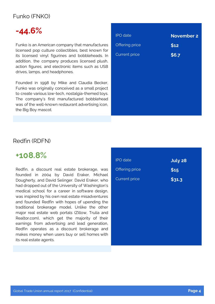#### Funko (FNKO)

# **-44.6%**

Funko is an American company that manufactures licensed pop culture collectibles, best known for its licensed vinyl figurines and bobbleheads. In addition, the company produces licensed plush, action figures, and electronic items such as USB drives, lamps, and headphones.

Founded in 1998 by Mike and Claudia Becker, Funko was originally conceived as a small project to create various low-tech, nostalgia-themed toys. The company's first manufactured bobblehead was of the well-known restaurant advertising icon, the Big Boy mascot.

| <b>IPO</b> date       | <b>November 2</b> |
|-----------------------|-------------------|
| <b>Offering price</b> | \$12              |
| <b>Current price</b>  | \$6.7             |
|                       |                   |
|                       |                   |
|                       |                   |
|                       |                   |
|                       |                   |
|                       |                   |
|                       |                   |

#### Redfin (RDFN)

### **+108.8%**

Redfin, a discount real estate brokerage, was founded in 2004 by David Eraker, Michael Dougherty, and David Selinger. David Eraker, who had dropped out of the University of Washington's medical school for a career in software design, was inspired by his own real estate misadventures and founded Redfin with hopes of upending the traditional brokerage model. Unlike the other major real estate web portals (Zillow, Trulia and Realtor.com), which get the majority of their earnings from advertising and lead generation, Redfin operates as a discount brokerage and makes money when users buy or sell homes with its real estate agents.

| <b>IPO</b> date       | July 28 |
|-----------------------|---------|
| <b>Offering price</b> | \$15    |
| <b>Current price</b>  | \$31.3  |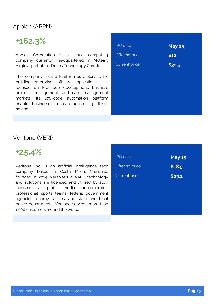#### Appian (APPN)

# **+162.3%**

Appian Corporation is a cloud computing company currently headquartered in Mclean, Virginia, part of the Dulles Technology Corridor.

The company sells a Platform as a Service for building enterprise software applications. It is focused on low-code development, business process management, and case management markets. Its low-code automation platform enables businesses to create apps using little or no code.

| <b>IPO</b> date      | <b>May 25</b> |
|----------------------|---------------|
| Offering price       | \$12          |
| <b>Current price</b> | \$31.5        |
|                      |               |
|                      |               |
|                      |               |
|                      |               |
|                      |               |

#### Veritone (VERI)

**+25.4%**

Veritone Inc. is an artificial intelligence tech company based in Costa Mesa, California, founded in 2014. Veritone's aiWARE technology and solutions are licensed and utilized by such industries as global media conglomerates, professional sports teams, federal government agencies, energy utilities, and state and local police departments. Veritone services more than 1,500 customers around the world.

| <b>IPO</b> date      | <b>May 15</b> |
|----------------------|---------------|
| Offering price       | \$18.5        |
| <b>Current price</b> | \$23.2        |
|                      |               |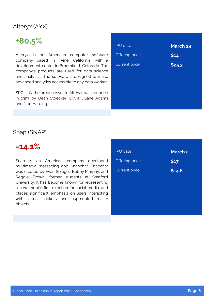### Alteryx (AYX)

# **+80.5%**

Alteryx is an American computer software company based in Irvine, California, with a development center in Broomfield, Colorado. The company's products are used for data science and analytics. The software is designed to make advanced analytics accessible to any data worker.

SRC LLC, the predecessor to Alteryx, was founded in 1997 by Dean Stoecker, Olivia Duane Adams and Ned Harding.

| <b>IPO</b> date      | <b>March 24</b> |
|----------------------|-----------------|
| Offering price       | \$14            |
| <b>Current price</b> | \$25.3          |
|                      |                 |
|                      |                 |
|                      |                 |
|                      |                 |

#### Snap (SNAP)

### **-14.1%**

Snap is an American company developed multimedia messaging app Snapchat. Snapchat was created by Evan Spiegel, Bobby Murphy, and Reggie Brown, former students at Stanford University. It has become known for representing a new, mobile-first direction for social media, and places significant emphasis on users interacting with virtual stickers and augmented reality objects.

| <b>IPO</b> date      | <b>March 2</b> |
|----------------------|----------------|
| Offering price       | \$17           |
| <b>Current price</b> | \$14.6         |
|                      |                |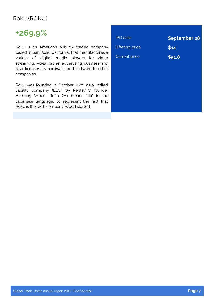#### Roku (ROKU)

# **+269.9%**

Roku is an American publicly traded company based in San Jose, California, that manufactures a variety of digital media players for video streaming. Roku has an advertising business and also licenses its hardware and software to other companies.

Roku was founded in October 2002 as a limited liability company (LLC), by ReplayTV founder Anthony Wood. Roku (六) means "six" in the Japanese language, to represent the fact that Roku is the sixth company Wood started.

| <b>IPO</b> date      | <b>September 28</b> |
|----------------------|---------------------|
| Offering price       | \$14                |
| <b>Current price</b> | \$51.8              |
|                      |                     |
|                      |                     |
|                      |                     |
|                      |                     |
|                      |                     |